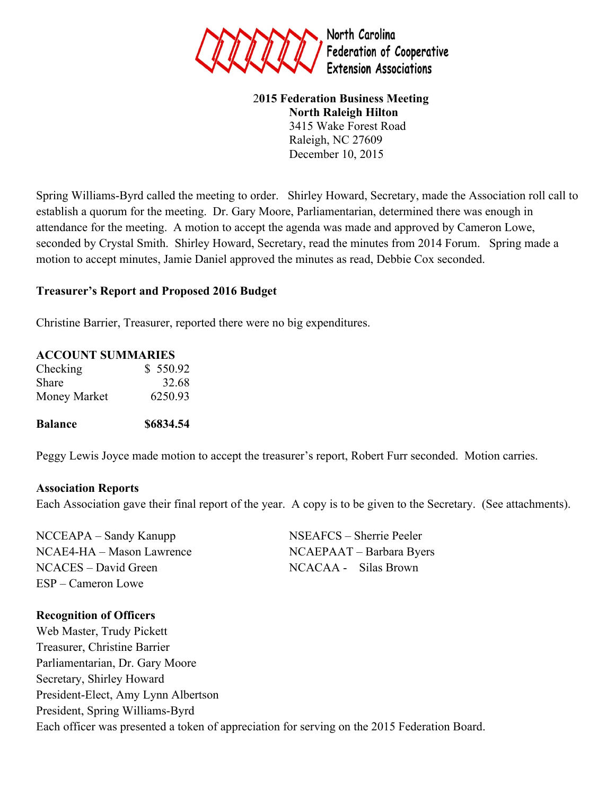

### 2**015 Federation Business Meeting North Raleigh Hilton** 3415 Wake Forest Road Raleigh, NC 27609 December 10, 2015

Spring Williams-Byrd called the meeting to order. Shirley Howard, Secretary, made the Association roll call to establish a quorum for the meeting. Dr. Gary Moore, Parliamentarian, determined there was enough in attendance for the meeting. A motion to accept the agenda was made and approved by Cameron Lowe, seconded by Crystal Smith. Shirley Howard, Secretary, read the minutes from 2014 Forum. Spring made a motion to accept minutes, Jamie Daniel approved the minutes as read, Debbie Cox seconded.

### **Treasurer's Report and Proposed 2016 Budget**

Christine Barrier, Treasurer, reported there were no big expenditures.

### **ACCOUNT SUMMARIES**

| Checking     | \$550.92 |
|--------------|----------|
| Share        | 32.68    |
| Money Market | 6250.93  |

### **Balance \$6834.54**

Peggy Lewis Joyce made motion to accept the treasurer's report, Robert Furr seconded. Motion carries.

### **Association Reports**

Each Association gave their final report of the year. A copy is to be given to the Secretary. (See attachments).

NCCEAPA – Sandy Kanupp NSEAFCS – Sherrie Peeler NCAE4-HA – Mason Lawrence NCAEPAAT – Barbara Byers NCACES – David Green NCACAA - Silas Brown ESP – Cameron Lowe

### **Recognition of Officers**

Web Master, Trudy Pickett Treasurer, Christine Barrier Parliamentarian, Dr. Gary Moore Secretary, Shirley Howard President-Elect, Amy Lynn Albertson President, Spring Williams-Byrd Each officer was presented a token of appreciation for serving on the 2015 Federation Board.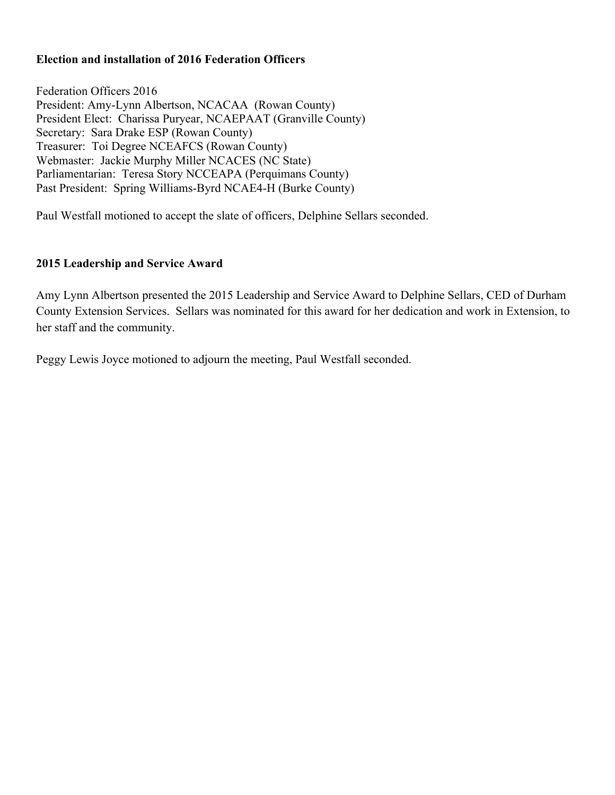### **Election and installation of 2016 Federation Officers**

Federation Officers 2016 President: Amy-Lynn Albertson, NCACAA (Rowan County) President Elect: Charissa Puryear, NCAEPAAT (Granville County) Secretary: Sara Drake ESP (Rowan County) Treasurer: Toi Degree NCEAFCS (Rowan County) Webmaster: Jackie Murphy Miller NCACES (NC State) Parliamentarian: Teresa Story NCCEAPA (Perquimans County) Past President: Spring Williams-Byrd NCAE4-H (Burke County)

Paul Westfall motioned to accept the slate of officers, Delphine Sellars seconded.

### **2015 Leadership and Service Award**

Amy Lynn Albertson presented the 2015 Leadership and Service Award to Delphine Sellars, CED of Durham County Extension Services. Sellars was nominated for this award for her dedication and work in Extension, to her staff and the community.

Peggy Lewis Joyce motioned to adjourn the meeting, Paul Westfall seconded.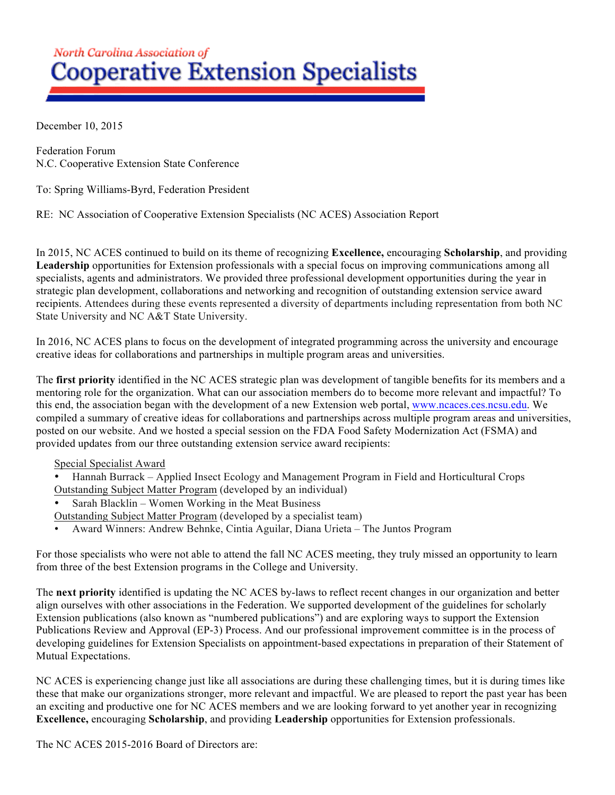# North Carolina Association of **Cooperative Extension Specialists**

December 10, 2015

Federation Forum N.C. Cooperative Extension State Conference

To: Spring Williams-Byrd, Federation President

RE: NC Association of Cooperative Extension Specialists (NC ACES) Association Report

In 2015, NC ACES continued to build on its theme of recognizing **Excellence,** encouraging **Scholarship**, and providing **Leadership** opportunities for Extension professionals with a special focus on improving communications among all specialists, agents and administrators. We provided three professional development opportunities during the year in strategic plan development, collaborations and networking and recognition of outstanding extension service award recipients. Attendees during these events represented a diversity of departments including representation from both NC State University and NC A&T State University.

In 2016, NC ACES plans to focus on the development of integrated programming across the university and encourage creative ideas for collaborations and partnerships in multiple program areas and universities.

The **first priority** identified in the NC ACES strategic plan was development of tangible benefits for its members and a mentoring role for the organization. What can our association members do to become more relevant and impactful? To this end, the association began with the development of a new Extension web portal, www.ncaces.ces.ncsu.edu. We compiled a summary of creative ideas for collaborations and partnerships across multiple program areas and universities, posted on our website. And we hosted a special session on the FDA Food Safety Modernization Act (FSMA) and provided updates from our three outstanding extension service award recipients:

### Special Specialist Award

- Hannah Burrack Applied Insect Ecology and Management Program in Field and Horticultural Crops Outstanding Subject Matter Program (developed by an individual)
- Sarah Blacklin Women Working in the Meat Business
- Outstanding Subject Matter Program (developed by a specialist team)
- Award Winners: Andrew Behnke, Cintia Aguilar, Diana Urieta The Juntos Program

For those specialists who were not able to attend the fall NC ACES meeting, they truly missed an opportunity to learn from three of the best Extension programs in the College and University.

The **next priority** identified is updating the NC ACES by-laws to reflect recent changes in our organization and better align ourselves with other associations in the Federation. We supported development of the guidelines for scholarly Extension publications (also known as "numbered publications") and are exploring ways to support the Extension Publications Review and Approval (EP-3) Process. And our professional improvement committee is in the process of developing guidelines for Extension Specialists on appointment-based expectations in preparation of their Statement of Mutual Expectations.

NC ACES is experiencing change just like all associations are during these challenging times, but it is during times like these that make our organizations stronger, more relevant and impactful. We are pleased to report the past year has been an exciting and productive one for NC ACES members and we are looking forward to yet another year in recognizing **Excellence,** encouraging **Scholarship**, and providing **Leadership** opportunities for Extension professionals.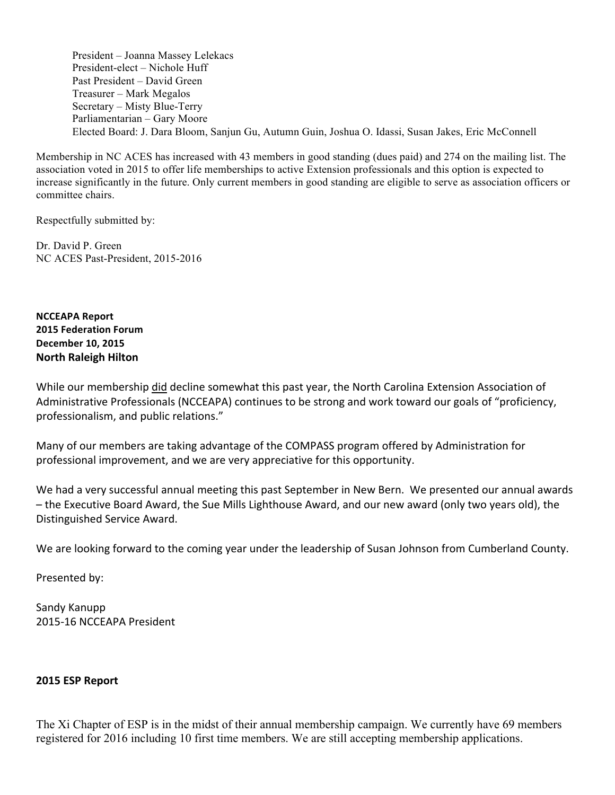President – Joanna Massey Lelekacs President-elect – Nichole Huff Past President – David Green Treasurer – Mark Megalos Secretary – Misty Blue-Terry Parliamentarian – Gary Moore Elected Board: J. Dara Bloom, Sanjun Gu, Autumn Guin, Joshua O. Idassi, Susan Jakes, Eric McConnell

Membership in NC ACES has increased with 43 members in good standing (dues paid) and 274 on the mailing list. The association voted in 2015 to offer life memberships to active Extension professionals and this option is expected to increase significantly in the future. Only current members in good standing are eligible to serve as association officers or committee chairs.

Respectfully submitted by:

Dr. David P. Green NC ACES Past-President, 2015-2016

**NCCEAPA Report 2015 Federation Forum December 10, 2015 North Raleigh Hilton** 

While our membership did decline somewhat this past year, the North Carolina Extension Association of Administrative Professionals (NCCEAPA) continues to be strong and work toward our goals of "proficiency, professionalism, and public relations."

Many of our members are taking advantage of the COMPASS program offered by Administration for professional improvement, and we are very appreciative for this opportunity.

We had a very successful annual meeting this past September in New Bern. We presented our annual awards – the Executive Board Award, the Sue Mills Lighthouse Award, and our new award (only two years old), the Distinguished Service Award.

We are looking forward to the coming year under the leadership of Susan Johnson from Cumberland County.

Presented by:

Sandy Kanupp 2015-16 NCCEAPA President

### **2015 ESP Report**

The Xi Chapter of ESP is in the midst of their annual membership campaign. We currently have 69 members registered for 2016 including 10 first time members. We are still accepting membership applications.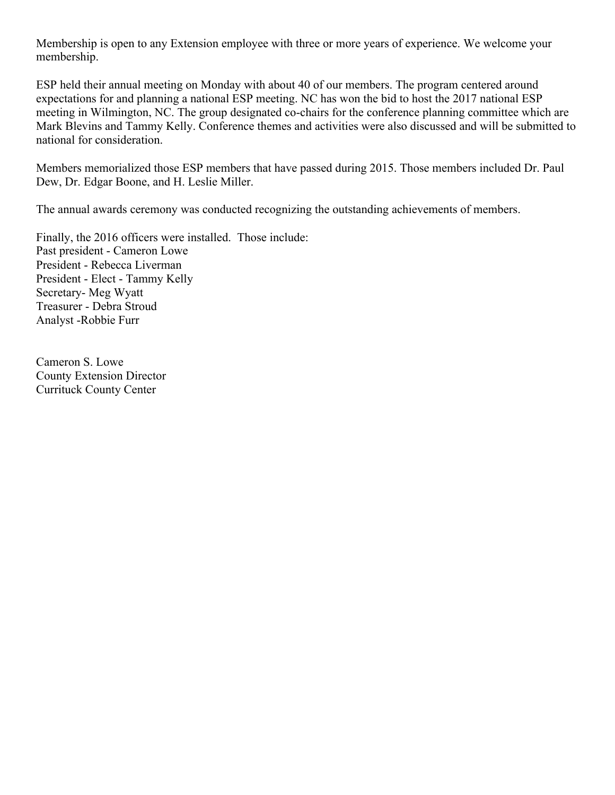Membership is open to any Extension employee with three or more years of experience. We welcome your membership.

ESP held their annual meeting on Monday with about 40 of our members. The program centered around expectations for and planning a national ESP meeting. NC has won the bid to host the 2017 national ESP meeting in Wilmington, NC. The group designated co-chairs for the conference planning committee which are Mark Blevins and Tammy Kelly. Conference themes and activities were also discussed and will be submitted to national for consideration.

Members memorialized those ESP members that have passed during 2015. Those members included Dr. Paul Dew, Dr. Edgar Boone, and H. Leslie Miller.

The annual awards ceremony was conducted recognizing the outstanding achievements of members.

Finally, the 2016 officers were installed. Those include: Past president - Cameron Lowe President - Rebecca Liverman President - Elect - Tammy Kelly Secretary- Meg Wyatt Treasurer - Debra Stroud Analyst -Robbie Furr

Cameron S. Lowe County Extension Director Currituck County Center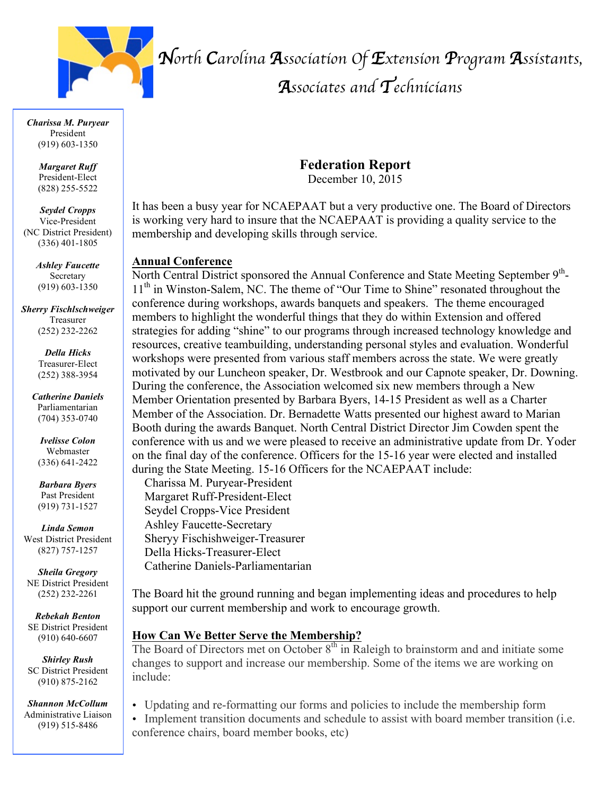

*North Carolina Association Of Extension Program Assistants,* 

# *Associates and Technicians*

*Charissa M. Puryear* President (919) 603-1350

> *Margaret Ruff* President-Elect (828) 255-5522

*Seydel Cropps* Vice-President (NC District President) (336) 401-1805

> *Ashley Faucette* Secretary (919) 603-1350

*Sherry Fischlschweiger* Treasurer (252) 232-2262

> *Della Hicks* Treasurer-Elect (252) 388-3954

*Catherine Daniels* Parliamentarian (704) 353-0740

*Ivelisse Colon* Webmaster (336) 641-2422

*Barbara Byers* Past President (919) 731-1527

*Linda Semon* West District President (827) 757-1257

*Sheila Gregory* NE District President (252) 232-2261

*Rebekah Benton* SE District President (910) 640-6607

*Shirley Rush* SC District President (910) 875-2162

*Shannon McCollum* Administrative Liaison (919) 515-8486

**Federation Report**

December 10, 2015

It has been a busy year for NCAEPAAT but a very productive one. The Board of Directors is working very hard to insure that the NCAEPAAT is providing a quality service to the membership and developing skills through service.

### **Annual Conference**

North Central District sponsored the Annual Conference and State Meeting September 9<sup>th</sup>-11<sup>th</sup> in Winston-Salem, NC. The theme of "Our Time to Shine" resonated throughout the conference during workshops, awards banquets and speakers. The theme encouraged members to highlight the wonderful things that they do within Extension and offered strategies for adding "shine" to our programs through increased technology knowledge and resources, creative teambuilding, understanding personal styles and evaluation. Wonderful workshops were presented from various staff members across the state. We were greatly motivated by our Luncheon speaker, Dr. Westbrook and our Capnote speaker, Dr. Downing. During the conference, the Association welcomed six new members through a New Member Orientation presented by Barbara Byers, 14-15 President as well as a Charter Member of the Association. Dr. Bernadette Watts presented our highest award to Marian Booth during the awards Banquet. North Central District Director Jim Cowden spent the conference with us and we were pleased to receive an administrative update from Dr. Yoder on the final day of the conference. Officers for the 15-16 year were elected and installed during the State Meeting. 15-16 Officers for the NCAEPAAT include:

Charissa M. Puryear-President Margaret Ruff-President-Elect Seydel Cropps-Vice President Ashley Faucette-Secretary Sheryy Fischishweiger-Treasurer Della Hicks-Treasurer-Elect Catherine Daniels-Parliamentarian

The Board hit the ground running and began implementing ideas and procedures to help support our current membership and work to encourage growth.

### **How Can We Better Serve the Membership?**

The Board of Directors met on October  $8<sup>th</sup>$  in Raleigh to brainstorm and and initiate some changes to support and increase our membership. Some of the items we are working on include:

- Updating and re-formatting our forms and policies to include the membership form
- Implement transition documents and schedule to assist with board member transition (i.e. conference chairs, board member books, etc)